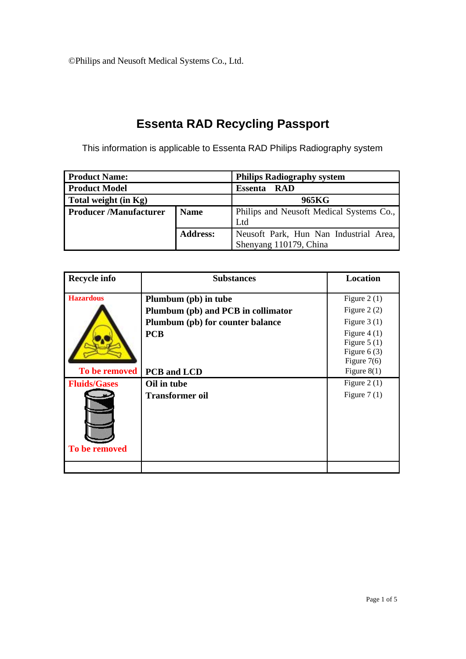## **Essenta RAD Recycling Passport**

This information is applicable to Essenta RAD Philips Radiography system

| <b>Product Name:</b>          |                 | <b>Philips Radiography system</b>        |  |
|-------------------------------|-----------------|------------------------------------------|--|
| <b>Product Model</b>          |                 | <b>Essenta</b><br><b>RAD</b>             |  |
| Total weight (in Kg)          |                 | 965KG                                    |  |
| <b>Producer /Manufacturer</b> | <b>Name</b>     | Philips and Neusoft Medical Systems Co., |  |
|                               |                 | Ltd                                      |  |
|                               | <b>Address:</b> | Neusoft Park, Hun Nan Industrial Area,   |  |
|                               |                 | Shenyang 110179, China                   |  |

| <b>Recycle info</b> | <b>Substances</b>                  | Location                                                                          |
|---------------------|------------------------------------|-----------------------------------------------------------------------------------|
| <b>Hazardous</b>    | Plumbum (pb) in tube               | Figure $2(1)$                                                                     |
| To be removed       | Plumbum (pb) and PCB in collimator | Figure $2(2)$                                                                     |
|                     | Plumbum (pb) for counter balance   | Figure $3(1)$                                                                     |
|                     | <b>PCB</b><br>PCB and LCD          | Figure $4(1)$<br>Figure $5(1)$<br>Figure $6(3)$<br>Figure $7(6)$<br>Figure $8(1)$ |
| <b>Fluids/Gases</b> | Oil in tube                        | Figure 2 $(1)$                                                                    |
| To be removed       | <b>Transformer oil</b>             | Figure $7(1)$                                                                     |
|                     |                                    |                                                                                   |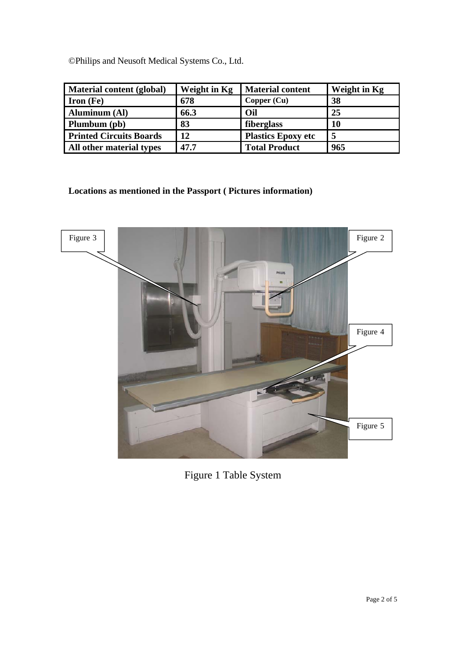| <b>Material content (global)</b> | Weight in Kg | <b>Material content</b>   | Weight in Kg |
|----------------------------------|--------------|---------------------------|--------------|
| <b>Iron</b> $(Fe)$               | 678          | Copper (Cu)               | 38           |
| <b>Aluminum (Al)</b>             | 66.3         | Oil                       | 25           |
| Plumbum (pb)                     | 83           | fiberglass                | <b>10</b>    |
| <b>Printed Circuits Boards</b>   | 12           | <b>Plastics Epoxy etc</b> | 5            |
| All other material types         | 47.7         | <b>Total Product</b>      | 965          |

**Locations as mentioned in the Passport ( Pictures information)** 



Figure 1 Table System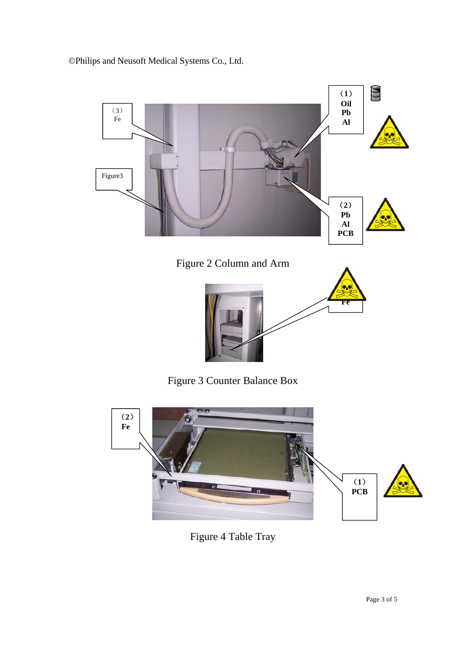



Figure 4 Table Tray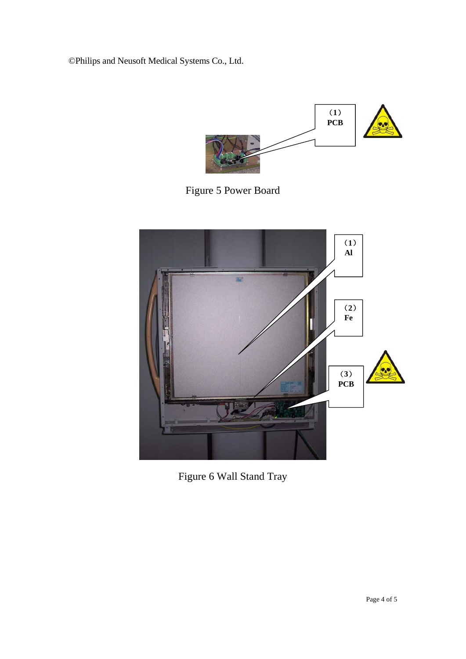

Figure 5 Power Board



Figure 6 Wall Stand Tray